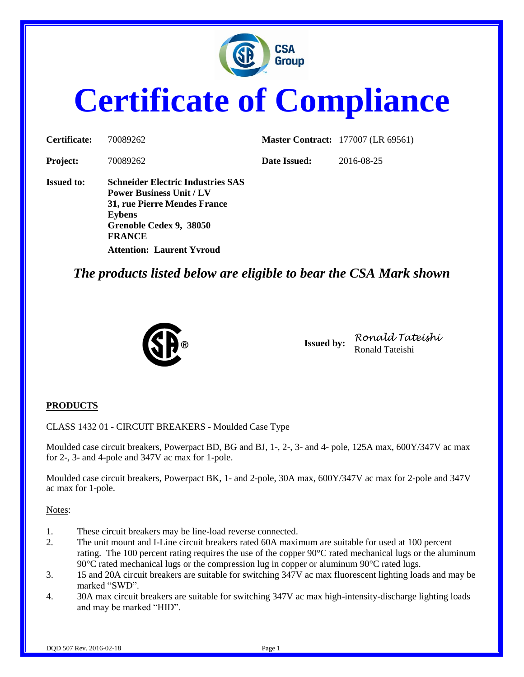

# **Certificate of Compliance**

| Certificate:      | 70089262                                                                                                                                                                                                     |              | <b>Master Contract:</b> 177007 (LR 69561) |
|-------------------|--------------------------------------------------------------------------------------------------------------------------------------------------------------------------------------------------------------|--------------|-------------------------------------------|
| <b>Project:</b>   | 70089262                                                                                                                                                                                                     | Date Issued: | 2016-08-25                                |
| <b>Issued to:</b> | <b>Schneider Electric Industries SAS</b><br><b>Power Business Unit / LV</b><br>31, rue Pierre Mendes France<br><b>Eybens</b><br>Grenoble Cedex 9, 38050<br><b>FRANCE</b><br><b>Attention: Laurent Yvroud</b> |              |                                           |

*The products listed below are eligible to bear the CSA Mark shown*



**Issued by:** *Ronald Tateishi* Ronald Tateishi

#### **PRODUCTS**

CLASS 1432 01 - CIRCUIT BREAKERS - Moulded Case Type

Moulded case circuit breakers, Powerpact BD, BG and BJ, 1-, 2-, 3- and 4- pole, 125A max, 600Y/347V ac max for 2-, 3- and 4-pole and 347V ac max for 1-pole.

Moulded case circuit breakers, Powerpact BK, 1- and 2-pole, 30A max, 600Y/347V ac max for 2-pole and 347V ac max for 1-pole.

Notes:

- 1. These circuit breakers may be line-load reverse connected.
- 2. The unit mount and I-Line circuit breakers rated 60A maximum are suitable for used at 100 percent rating. The 100 percent rating requires the use of the copper 90°C rated mechanical lugs or the aluminum 90°C rated mechanical lugs or the compression lug in copper or aluminum 90°C rated lugs.
- 3. 15 and 20A circuit breakers are suitable for switching 347V ac max fluorescent lighting loads and may be marked "SWD".
- 4. 30A max circuit breakers are suitable for switching 347V ac max high-intensity-discharge lighting loads and may be marked "HID".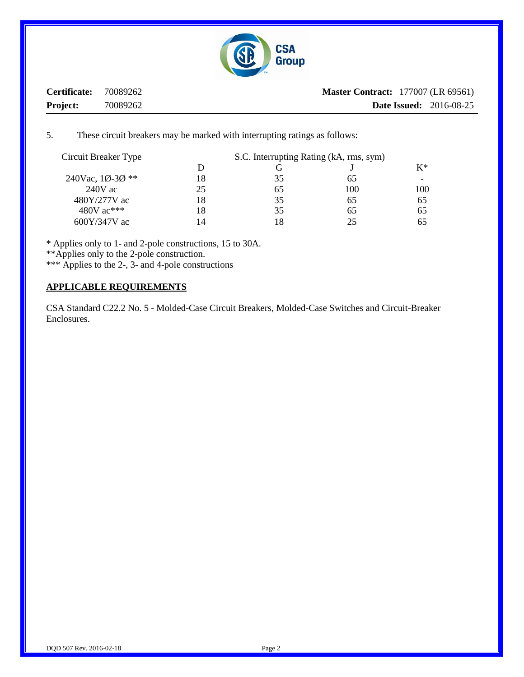

**Certificate:** 70089262 **Project:** 70089262 **Master Contract:** 177007 (LR 69561) **Date Issued:** 2016-08-25

5. These circuit breakers may be marked with interrupting ratings as follows:

| S.C. Interrupting Rating (kA, rms, sym) |    |     |       |
|-----------------------------------------|----|-----|-------|
| D                                       |    |     | $K^*$ |
| 18                                      | 35 | 65  |       |
| 25                                      | 65 | 100 | 100   |
| 18                                      | 35 | 65  | 65    |
| 18                                      | 35 | 65  | 65    |
| 14                                      | 18 | 25. | 65    |
|                                         |    |     |       |

\* Applies only to 1- and 2-pole constructions, 15 to 30A.

\*\*Applies only to the 2-pole construction.

\*\*\* Applies to the 2-, 3- and 4-pole constructions

#### **APPLICABLE REQUIREMENTS**

CSA Standard C22.2 No. 5 - Molded-Case Circuit Breakers, Molded-Case Switches and Circuit-Breaker Enclosures.